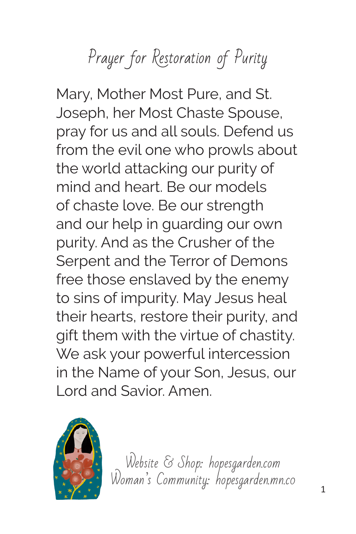### Prayer for Restoration of Purity

Mary, Mother Most Pure, and St. Joseph, her Most Chaste Spouse, pray for us and all souls. Defend us from the evil one who prowls about the world attacking our purity of mind and heart. Be our models of chaste love. Be our strength and our help in guarding our own purity. And as the Crusher of the Serpent and the Terror of Demons free those enslaved by the enemy to sins of impurity. May Jesus heal their hearts, restore their purity, and gift them with the virtue of chastity. We ask your powerful intercession in the Name of your Son, Jesus, our Lord and Savior. Amen.

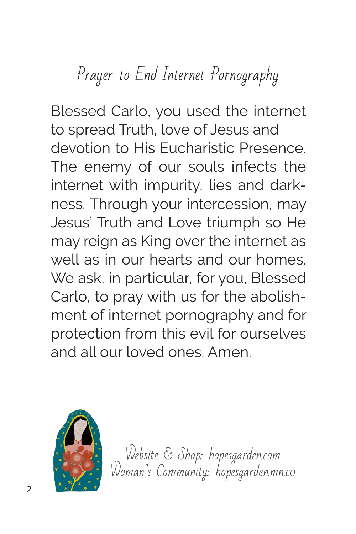### Prayer to End Internet Pornography

Blessed Carlo, you used the internet to spread Truth, love of Jesus and devotion to His Eucharistic Presence. The enemy of our souls infects the internet with impurity, lies and darkness. Through your intercession, may Jesus' Truth and Love triumph so He may reign as King over the internet as well as in our hearts and our homes. We ask, in particular, for you, Blessed Carlo, to pray with us for the abolishment of internet pornography and for protection from this evil for ourselves and all our loved ones. Amen.

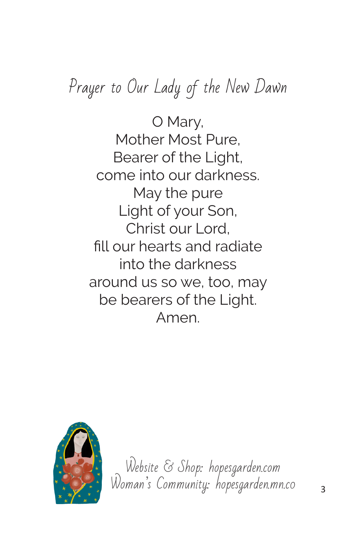# Prayer to Our Lady of the New Dawn

O Mary, Mother Most Pure, Bearer of the Light, come into our darkness. May the pure Light of your Son, Christ our Lord, fill our hearts and radiate into the darkness around us so we, too, may be bearers of the Light. Amen.

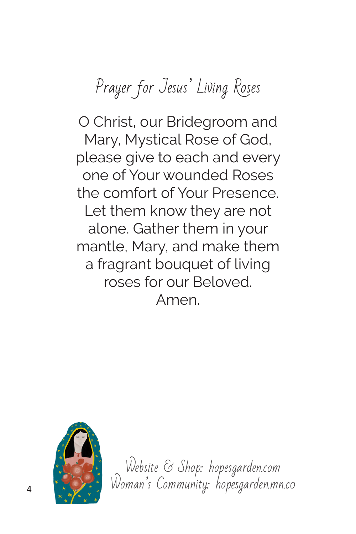## Prayer for Jesus' Living Roses

O Christ, our Bridegroom and Mary, Mystical Rose of God, please give to each and every one of Your wounded Roses the comfort of Your Presence. Let them know they are not alone. Gather them in your mantle, Mary, and make them a fragrant bouquet of living roses for our Beloved. Amen.

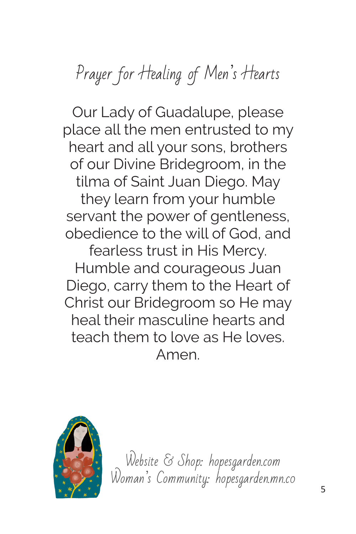Prayer for Healing of Men's Hearts

Our Lady of Guadalupe, please place all the men entrusted to my heart and all your sons, brothers of our Divine Bridegroom, in the tilma of Saint Juan Diego. May they learn from your humble servant the power of gentleness, obedience to the will of God, and fearless trust in His Mercy. Humble and courageous Juan Diego, carry them to the Heart of Christ our Bridegroom so He may heal their masculine hearts and teach them to love as He loves. Amen.